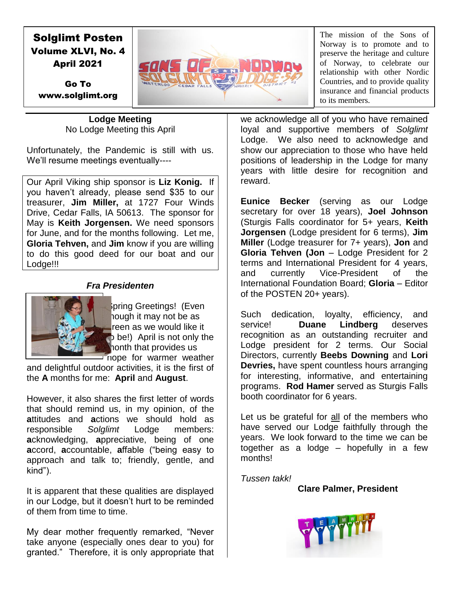# Solglimt Posten Volume XLVI, No. 4 April 2021



The mission of the Sons of Norway is to promote and to preserve the heritage and culture of Norway, to celebrate our relationship with other Nordic Countries, and to provide quality insurance and financial products to its members.

Go To www.solglimt.org

> **Lodge Meeting** No Lodge Meeting this April

Unfortunately, the Pandemic is still with us. We'll resume meetings eventually----

Our April Viking ship sponsor is **Liz Konig.** If you haven't already, please send \$35 to our treasurer, **Jim Miller,** at 1727 Four Winds Drive, Cedar Falls, IA 50613. The sponsor for May is **Keith Jorgensen.** We need sponsors for June, and for the months following. Let me, **Gloria Tehven,** and **Jim** know if you are willing to do this good deed for our boat and our Lodge!!!

### *Fra Presidenten*



Spring Greetings! (Even hough it may not be as reen as we would like it  $\bullet$  be!) April is not only the month that provides us hope for warmer weather

and delightful outdoor activities, it is the first of the **A** months for me: **April** and **August**.

However, it also shares the first letter of words that should remind us, in my opinion, of the **a**ttitudes and **a**ctions we should hold as responsible *Solglimt* Lodge members: **a**cknowledging, **a**ppreciative, being of one **a**ccord, **a**ccountable, **a**ffable ("being easy to approach and talk to; friendly, gentle, and kind").

It is apparent that these qualities are displayed in our Lodge, but it doesn't hurt to be reminded of them from time to time.

My dear mother frequently remarked, "Never take anyone (especially ones dear to you) for granted." Therefore, it is only appropriate that

we acknowledge all of you who have remained loyal and supportive members of *Solglimt*  Lodge. We also need to acknowledge and show our appreciation to those who have held positions of leadership in the Lodge for many years with little desire for recognition and reward.

**Eunice Becker** (serving as our Lodge secretary for over 18 years), **Joel Johnson** (Sturgis Falls coordinator for 5+ years, **Keith Jorgensen** (Lodge president for 6 terms), **Jim Miller** (Lodge treasurer for 7+ years), **Jon** and **Gloria Tehven (Jon** – Lodge President for 2 terms and International President for 4 years, and currently Vice-President of the International Foundation Board; **Gloria** – Editor of the POSTEN 20+ years).

Such dedication, loyalty, efficiency, and service! **Duane Lindberg** deserves recognition as an outstanding recruiter and Lodge president for 2 terms. Our Social Directors, currently **Beebs Downing** and **Lori Devries,** have spent countless hours arranging for interesting, informative, and entertaining programs. **Rod Hamer** served as Sturgis Falls booth coordinator for 6 years.

Let us be grateful for all of the members who have served our Lodge faithfully through the years. We look forward to the time we can be together as a lodge – hopefully in a few months!

*Tussen takk!*

**Clare Palmer, President**

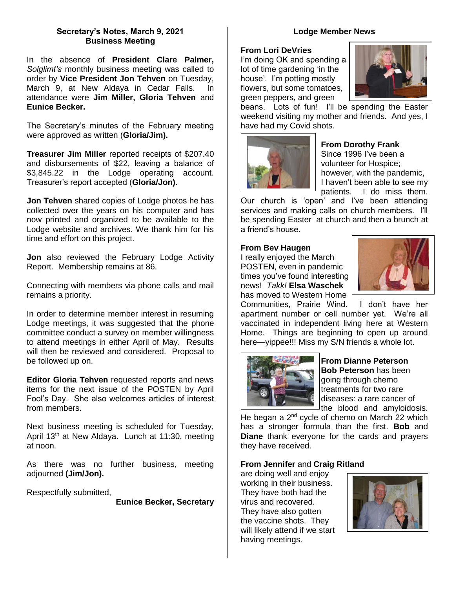### **Secretary's Notes, March 9, 2021 Business Meeting**

In the absence of **President Clare Palmer,**  *Solglimt's* monthly business meeting was called to order by **Vice President Jon Tehven** on Tuesday, March 9, at New Aldaya in Cedar Falls. In attendance were **Jim Miller, Gloria Tehven** and **Eunice Becker.** 

The Secretary's minutes of the February meeting were approved as written (**Gloria/Jim).** 

**Treasurer Jim Miller** reported receipts of \$207.40 and disbursements of \$22, leaving a balance of \$3,845.22 in the Lodge operating account. Treasurer's report accepted (**Gloria/Jon).**

**Jon Tehven** shared copies of Lodge photos he has collected over the years on his computer and has now printed and organized to be available to the Lodge website and archives. We thank him for his time and effort on this project.

**Jon** also reviewed the February Lodge Activity Report. Membership remains at 86.

Connecting with members via phone calls and mail remains a priority.

In order to determine member interest in resuming Lodge meetings, it was suggested that the phone committee conduct a survey on member willingness to attend meetings in either April of May. Results will then be reviewed and considered. Proposal to be followed up on.

**Editor Gloria Tehven** requested reports and news items for the next issue of the POSTEN by April Fool's Day. She also welcomes articles of interest from members.

Next business meeting is scheduled for Tuesday, April 13<sup>th</sup> at New Aldaya. Lunch at 11:30, meeting at noon.

As there was no further business, meeting adjourned **(Jim/Jon).** 

Respectfully submitted,

**Eunice Becker, Secretary**

#### **Lodge Member News**

#### **From Lori DeVries**

I'm doing OK and spending a lot of time gardening 'in the house'. I'm potting mostly flowers, but some tomatoes, green peppers, and green



beans. Lots of fun! I'll be spending the Easter weekend visiting my mother and friends. And yes, I have had my Covid shots.



### **From Dorothy Frank**

Since 1996 I've been a volunteer for Hospice; however, with the pandemic, I haven't been able to see my patients. I do miss them.

Our church is 'open' and I've been attending services and making calls on church members. I'll be spending Easter at church and then a brunch at a friend's house.

#### **From Bev Haugen**

I really enjoyed the March POSTEN, even in pandemic times you've found interesting news! *Takk!* **Elsa Waschek**  has moved to Western Home



Communities, Prairie Wind. I don't have her apartment number or cell number yet. We're all vaccinated in independent living here at Western Home. Things are beginning to open up around here—yippee!!! Miss my S/N friends a whole lot.



**From Dianne Peterson Bob Peterson** has been going through chemo treatments for two rare diseases: a rare cancer of the blood and amyloidosis.

He began a  $2<sup>nd</sup>$  cycle of chemo on March 22 which has a stronger formula than the first. **Bob** and **Diane** thank everyone for the cards and prayers they have received.

### **From Jennifer** and **Craig Ritland**

are doing well and enjoy working in their business. They have both had the virus and recovered. They have also gotten the vaccine shots. They will likely attend if we start having meetings.

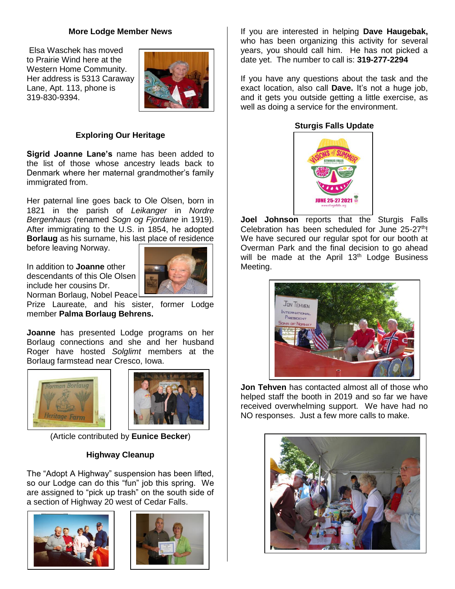#### **More Lodge Member News**

Elsa Waschek has moved to Prairie Wind here at the Western Home Community. Her address is 5313 Caraway Lane, Apt. 113, phone is 319-830-9394.



### **Exploring Our Heritage**

**Sigrid Joanne Lane's** name has been added to the list of those whose ancestry leads back to Denmark where her maternal grandmother's family immigrated from.

Her paternal line goes back to Ole Olsen, born in 1821 in the parish of *Leikanger* in *Nordre Bergenhaus* (renamed *Sogn og Fjordane* in 1919). After immigrating to the U.S. in 1854, he adopted **Borlaug** as his surname, his last place of residence before leaving Norway.

In addition to **Joanne** other descendants of this Ole Olsen include her cousins Dr. Norman Borlaug, Nobel Peace



Prize Laureate, and his sister, former Lodge member **Palma Borlaug Behrens.**

**Joanne** has presented Lodge programs on her Borlaug connections and she and her husband Roger have hosted *Solglimt* members at the Borlaug farmstead near Cresco, Iowa.





(Article contributed by **Eunice Becker**)

### **Highway Cleanup**

The "Adopt A Highway" suspension has been lifted, so our Lodge can do this "fun" job this spring. We are assigned to "pick up trash" on the south side of a section of Highway 20 west of Cedar Falls.





If you are interested in helping **Dave Haugebak,**  who has been organizing this activity for several years, you should call him. He has not picked a date yet. The number to call is: **319-277-2294**

If you have any questions about the task and the exact location, also call **Dave.** It's not a huge job, and it gets you outside getting a little exercise, as well as doing a service for the environment.

### **Sturgis Falls Update**



**Joel Johnson** reports that the Sturgis Falls Celebration has been scheduled for June 25-27<sup>th</sup>! We have secured our regular spot for our booth at Overman Park and the final decision to go ahead will be made at the April  $13<sup>th</sup>$  Lodge Business Meeting.



**Jon Tehven** has contacted almost all of those who helped staff the booth in 2019 and so far we have received overwhelming support. We have had no NO responses. Just a few more calls to make.

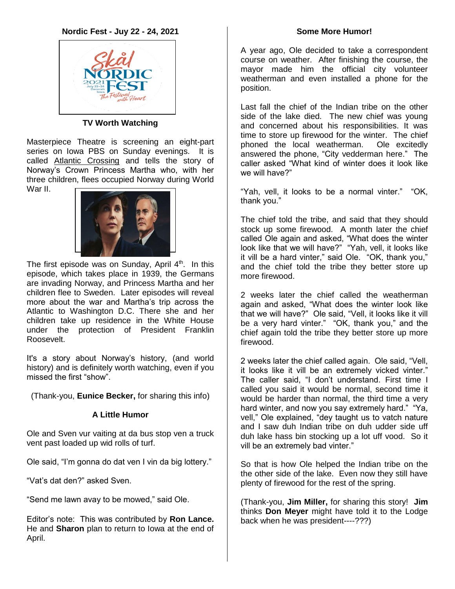

### **TV Worth Watching**

Masterpiece Theatre is screening an eight-part series on Iowa PBS on Sunday evenings. It is called Atlantic Crossing and tells the story of Norway's Crown Princess Martha who, with her three children, flees occupied Norway during World War II.



The first episode was on Sunday, April  $4<sup>th</sup>$ . In this episode, which takes place in 1939, the Germans are invading Norway, and Princess Martha and her children flee to Sweden. Later episodes will reveal more about the war and Martha's trip across the Atlantic to Washington D.C. There she and her children take up residence in the White House under the protection of President Franklin Roosevelt.

It's a story about Norway's history, (and world history) and is definitely worth watching, even if you missed the first "show".

(Thank-you, **Eunice Becker,** for sharing this info)

## **A Little Humor**

Ole and Sven vur vaiting at da bus stop ven a truck vent past loaded up wid rolls of turf.

Ole said, "I'm gonna do dat ven I vin da big lottery."

"Vat's dat den?" asked Sven.

"Send me lawn avay to be mowed," said Ole.

Editor's note: This was contributed by **Ron Lance.** He and **Sharon** plan to return to Iowa at the end of April.

### **Some More Humor!**

A year ago, Ole decided to take a correspondent course on weather. After finishing the course, the mayor made him the official city volunteer weatherman and even installed a phone for the position.

Last fall the chief of the Indian tribe on the other side of the lake died. The new chief was young and concerned about his responsibilities. It was time to store up firewood for the winter. The chief phoned the local weatherman. Ole excitedly answered the phone, "City vedderman here." The caller asked "What kind of winter does it look like we will have?"

"Yah, vell, it looks to be a normal vinter." "OK, thank you."

The chief told the tribe, and said that they should stock up some firewood. A month later the chief called Ole again and asked, "What does the winter look like that we will have?" "Yah, vell, it looks like it vill be a hard vinter," said Ole. "OK, thank you," and the chief told the tribe they better store up more firewood.

2 weeks later the chief called the weatherman again and asked, "What does the winter look like that we will have?" Ole said, "Vell, it looks like it vill be a very hard vinter." "OK, thank you," and the chief again told the tribe they better store up more firewood.

2 weeks later the chief called again. Ole said, "Vell, it looks like it vill be an extremely vicked vinter." The caller said, "I don't understand. First time I called you said it would be normal, second time it would be harder than normal, the third time a very hard winter, and now you say extremely hard." "Ya, vell," Ole explained, "dey taught us to vatch nature and I saw duh Indian tribe on duh udder side uff duh lake hass bin stocking up a lot uff vood. So it vill be an extremely bad vinter."

So that is how Ole helped the Indian tribe on the the other side of the lake. Even now they still have plenty of firewood for the rest of the spring.

(Thank-you, **Jim Miller,** for sharing this story! **Jim** thinks **Don Meyer** might have told it to the Lodge back when he was president----???)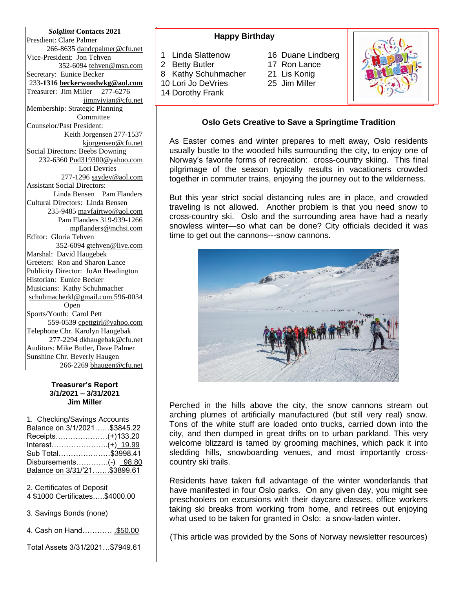*Solglimt* **Contacts 2021** Presdient: Clare Palmer 266-8635 dandcpalmer@cfu.net Vice-President: Jon Tehven 352-6094 tehven@msn.com Secretary: Eunice Becker 233-**1316 [beckerwoodwkg@aol.com](mailto:beckerwoodwkg@aol.com)** Treasurer: Jim Miller 277-6276 jimnvivian@cfu.net Membership: Strategic Planning Committee Counselor/Past President: Keith Jorgensen 277-1537 kjorgensen@cfu.net Social Directors: Beebs Downing 232-6360 Pud319300@yahoo.com Lori Devries 277-1296 saydev@aol.com Assistant Social Directors: Linda Bensen Pam Flanders Cultural Directors: Linda Bensen 235-9485 [mayfairtwo@aol.com](mailto:mayfairtwo@aol.com)  Pam Flanders 319-939-1266 mpflanders@mchsi.com Editor: Gloria Tehven 352-6094 [gtehven@live.com](mailto:gtehven@live.com) Marshal: David Haugebek Greeters: Ron and Sharon Lance Publicity Director: JoAn Headington Historian: Eunice Becker Musicians: Kathy Schuhmacher [schuhmacherkl@gmail.com](mailto:schuhmacherkl@gmail.com) 596-0034 Open Sports/Youth: Carol Pett 559-0539 cpettgirl@yahoo.com Telephone Chr. Karolyn Haugebak 277-2294 [dkhaugebak@cfu.net](mailto:dkhaugebak@cfu.net) Auditors: Mike Butler, Dave Palmer Sunshine Chr. Beverly Haugen 266-2269 bhaugen@cfu.net

#### **Treasurer's Report 3/1/2021 – 3/31/2021 Jim Miller**

1. Checking/Savings Accounts Balance on 3/1/2021……\$3845.22 Receipts…………………(+)133.20 Interest…………………..(+) 19.99 Sub Total…………………\$3998.41 Disbursements...............(-) 98.80 Balance on 3/31/'21…….\$3899.61

2. Certificates of Deposit

4 \$1000 Certificates…..\$4000.00

3. Savings Bonds (none)

4. Cash on Hand………… .\$50.00

Total Assets 3/31/2021…\$7949.61

### **Happy Birthday**

- 1 Linda Slattenow 16 Duane Lindberg
- 
- 8 Kathy Schuhmacher 21 Lis Konig
- 10 Lori Jo DeVries 25 Jim Miller
- 14 Dorothy Frank
- 
- 
- 



### **Oslo Gets Creative to Save a Springtime Tradition**

As Easter comes and winter prepares to melt away, Oslo residents usually bustle to the wooded hills surrounding the city, to enjoy one of Norway's favorite forms of recreation: cross-country skiing. This final pilgrimage of the season typically results in vacationers crowded together in commuter trains, enjoying the journey out to the wilderness.

But this year strict social distancing rules are in place, and crowded traveling is not allowed. Another problem is that you need snow to cross-country ski. Oslo and the surrounding area have had a nearly snowless winter—so what can be done? City officials decided it was time to get out the cannons---snow cannons.



Perched in the hills above the city, the snow cannons stream out arching plumes of artificially manufactured (but still very real) snow. Tons of the white stuff are loaded onto trucks, carried down into the city, and then dumped in great drifts on to urban parkland. This very welcome blizzard is tamed by grooming machines, which pack it into sledding hills, snowboarding venues, and most importantly crosscountry ski trails.

Residents have taken full advantage of the winter wonderlands that have manifested in four Oslo parks. On any given day, you might see preschoolers on excursions with their daycare classes, office workers taking ski breaks from working from home, and retirees out enjoying what used to be taken for granted in Oslo: a snow-laden winter.

(This article was provided by the Sons of Norway newsletter resources)

2 Betty Butler 17 Ron Lance